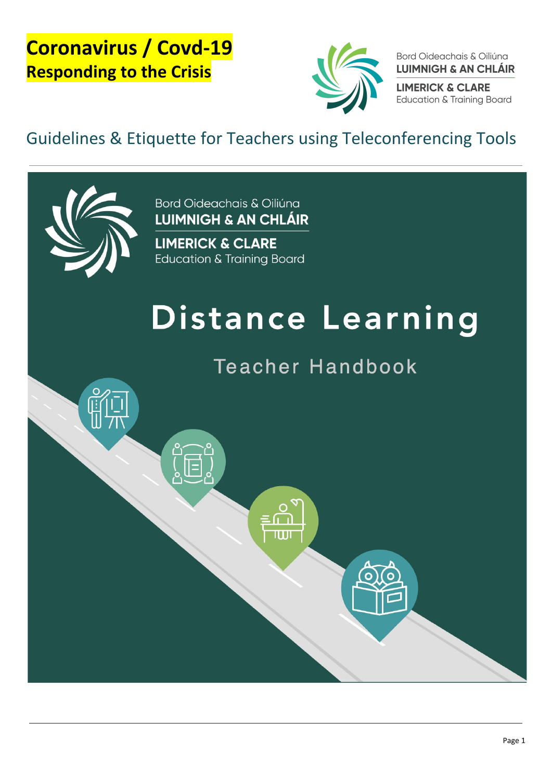

Bord Oideachais & Oiliúna **LUIMNIGH & AN CHLÁIR** 

**LIMERICK & CLARE Education & Training Board** 

# <span id="page-0-2"></span><span id="page-0-1"></span><span id="page-0-0"></span>Guidelines & Etiquette for Teachers using Teleconferencing Tools



Bord Oideachais & Oiliúna **LUIMNIGH & AN CHLÁIR** 

**LIMERICK & CLARE Education & Training Board** 

# Distance Learning

**Teacher Handbook**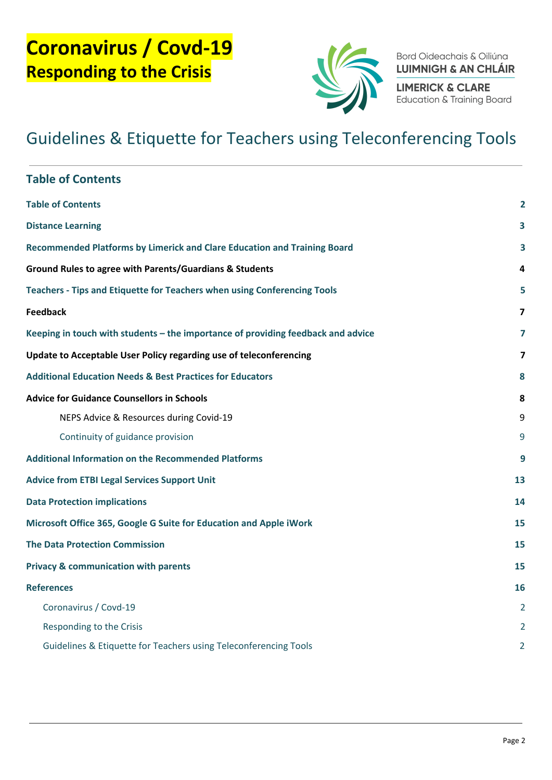

Bord Oideachais & Oiliúna **LUIMNIGH & AN CHLÁIR** 

**LIMERICK & CLARE** Education & Training Board

<span id="page-1-0"></span>

| <b>Table of Contents</b>                                                         |                         |  |
|----------------------------------------------------------------------------------|-------------------------|--|
| <b>Table of Contents</b>                                                         | $\mathbf{2}$            |  |
| <b>Distance Learning</b>                                                         |                         |  |
| Recommended Platforms by Limerick and Clare Education and Training Board         |                         |  |
| <b>Ground Rules to agree with Parents/Guardians &amp; Students</b>               | 4                       |  |
| Teachers - Tips and Etiquette for Teachers when using Conferencing Tools         |                         |  |
| <b>Feedback</b>                                                                  | $\overline{\mathbf{z}}$ |  |
| Keeping in touch with students - the importance of providing feedback and advice |                         |  |
| Update to Acceptable User Policy regarding use of teleconferencing               |                         |  |
| <b>Additional Education Needs &amp; Best Practices for Educators</b>             |                         |  |
| <b>Advice for Guidance Counsellors in Schools</b>                                | 8                       |  |
| NEPS Advice & Resources during Covid-19                                          | 9                       |  |
| Continuity of guidance provision                                                 | 9                       |  |
| <b>Additional Information on the Recommended Platforms</b>                       |                         |  |
| <b>Advice from ETBI Legal Services Support Unit</b>                              |                         |  |
| <b>Data Protection implications</b>                                              |                         |  |
| Microsoft Office 365, Google G Suite for Education and Apple iWork               |                         |  |
| <b>The Data Protection Commission</b>                                            |                         |  |
| <b>Privacy &amp; communication with parents</b>                                  | 15                      |  |
| <b>References</b>                                                                | 16                      |  |
| Coronavirus / Covd-19                                                            | 2                       |  |
| Responding to the Crisis                                                         |                         |  |
| Guidelines & Etiquette for Teachers using Teleconferencing Tools                 | $\overline{2}$          |  |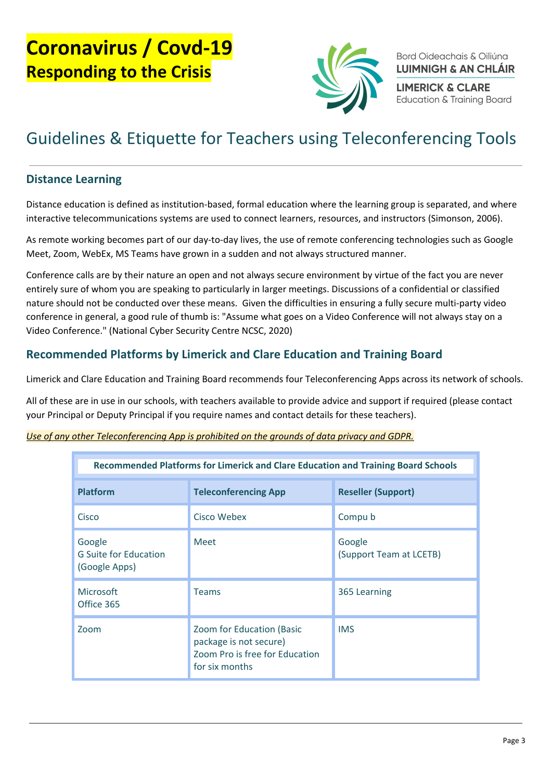

Bord Oideachais & Oiliúna **LUIMNIGH & AN CHLÁIR** 

**LIMERICK & CLARE Education & Training Board** 

### Guidelines & Etiquette for Teachers using Teleconferencing Tools

#### <span id="page-2-0"></span>Distance Learning

Distance education is defined as institution-based, formal education where the learning group is separated, and where interactive telecommunications systems are used to connect learners, resources, and instructors (Simonson, 2006).

As remote working becomes part of our day-to-day lives, the use of remote conferencing technologies such as Google Meet, Zoom, WebEx, MS Teams have grown in a sudden and not always structured manner.

Conference calls are by their nature an open and not always secure environment by virtue of the fact you are never entirely sure of whom you are speaking to particularly in larger meetings. Discussions of a confidential or classified nature should not be conducted over these means. Given the difficulties in ensuring a fully secure multi-party video conference in general, a good rule of thumb is: "Assume what goes on a Video Conference will not always stay on a Video Conference." (National Cyber Security Centre NCSC, 2020)

#### <span id="page-2-1"></span>Recommended Platforms by Limerick and Clare Education and Training Board

Limerick and Clare Education and Training Board recommends four Teleconferencing Apps across its network of schools.

All of these are in use in our schools, with teachers available to provide advice and support if required (please contact your Principal or Deputy Principal if you require names and contact details for these teachers).

| Recommended Platforms for Limerick and Clare Education and Training Board Schools |                                                                                                         |                                   |  |
|-----------------------------------------------------------------------------------|---------------------------------------------------------------------------------------------------------|-----------------------------------|--|
| <b>Platform</b>                                                                   | <b>Teleconferencing App</b>                                                                             | <b>Reseller (Support)</b>         |  |
| Cisco                                                                             | Cisco Webex                                                                                             | Compu b                           |  |
| Google<br><b>G</b> Suite for Education<br>(Google Apps)                           | <b>Meet</b>                                                                                             | Google<br>(Support Team at LCETB) |  |
| Microsoft<br>Office 365                                                           | <b>Teams</b>                                                                                            | 365 Learning                      |  |
| Zoom                                                                              | Zoom for Education (Basic<br>package is not secure)<br>Zoom Pro is free for Education<br>for six months | <b>IMS</b>                        |  |

#### Use of any other Teleconferencing App is prohibited on the grounds of data privacy and GDPR.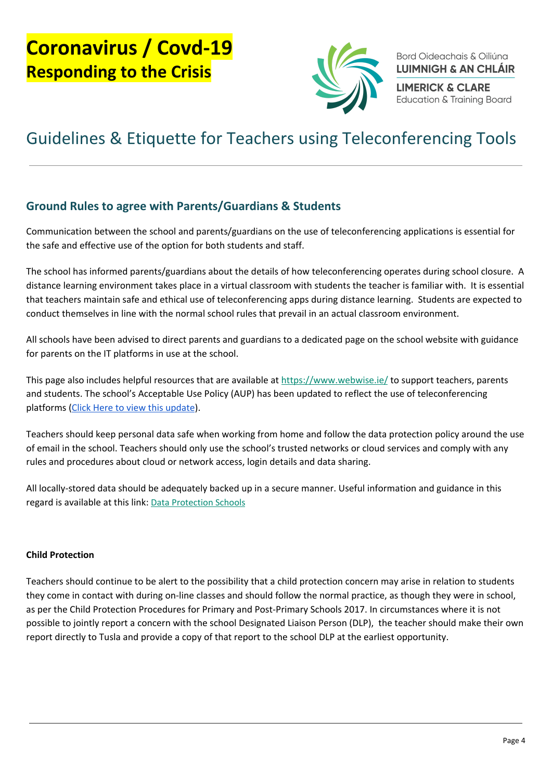

Bord Oideachais & Oiliúna **LUIMNIGH & AN CHLÁIR** 

**LIMERICK & CLARE Education & Training Board** 

### Guidelines & Etiquette for Teachers using Teleconferencing Tools

#### <span id="page-3-0"></span>Ground Rules to agree with Parents/Guardians & Students

Communication between the school and parents/guardians on the use of teleconferencing applications is essential for the safe and effective use of the option for both students and staff.

The school has informed parents/guardians about the details of how teleconferencing operates during school closure. A distance learning environment takes place in a virtual classroom with students the teacher is familiar with. It is essential that teachers maintain safe and ethical use of teleconferencing apps during distance learning. Students are expected to conduct themselves in line with the normal school rules that prevail in an actual classroom environment.

All schools have been advised to direct parents and guardians to a dedicated page on the school website with guidance for parents on the IT platforms in use at the school.

This page also includes helpful resources that are available at <https://www.webwise.ie/> to support teachers, parents and students. The school's Acceptable Use Policy (AUP) has been updated to reflect the use of teleconferencing platforms (Click Here to view this update).

Teachers should keep personal data safe when working from home and follow the data protection policy around the use of email in the school. Teachers should only use the school's trusted networks or cloud services and comply with any rules and procedures about cloud or network access, login details and data sharing.

All locally-stored data should be adequately backed up in a secure manner. Useful information and guidance in this regard is available at this link: [Data Protection Schools](http://www.dataprotectionschools.ie/en/)

#### Child Protection

Teachers should continue to be alert to the possibility that a child protection concern may arise in relation to students they come in contact with during on-line classes and should follow the normal practice, as though they were in school, as per the Child Protection Procedures for Primary and Post-Primary Schools 2017. In circumstances where it is not possible to jointly report a concern with the school Designated Liaison Person (DLP), the teacher should make their own report directly to Tusla and provide a copy of that report to the school DLP at the earliest opportunity.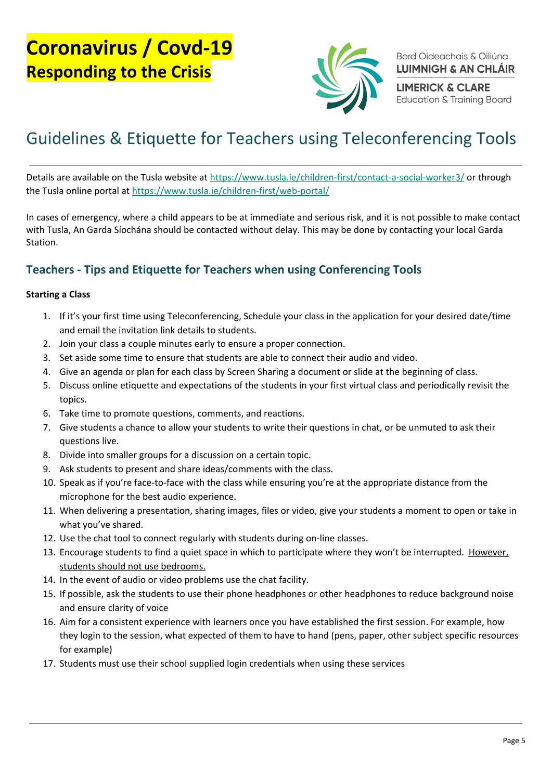

Bord Oideachais & Oiliúna **LUIMNIGH & AN CHLÁIR** 

**LIMERICK & CLARE Education & Training Board** 

# Guidelines & Etiquette for Teachers using Teleconferencing Tools

Details are available on the Tusla website at <https://www.tusla.ie/children-first/contact-a-social-worker3/> or through the Tusla online portal at <https://www.tusla.ie/children-first/web-portal/>

In cases of emergency, where a child appears to be at immediate and serious risk, and it is not possible to make contact with Tusla, An Garda Síochána should be contacted without delay. This may be done by contacting your local Garda Station.

#### <span id="page-4-0"></span>Teachers - Tips and Etiquette for Teachers when using Conferencing Tools

#### Starting a Class

- 1. If it's your first time using Teleconferencing, Schedule your class in the application for your desired date/time and email the invitation link details to students.
- 2. Join your class a couple minutes early to ensure a proper connection.
- 3. Set aside some time to ensure that students are able to connect their audio and video.
- 4. Give an agenda or plan for each class by Screen Sharing a document or slide at the beginning of class.
- 5. Discuss online etiquette and expectations of the students in your first virtual class and periodically revisit the topics.
- 6. Take time to promote questions, comments, and reactions.
- 7. Give students a chance to allow your students to write their questions in chat, or be unmuted to ask their questions live.
- 8. Divide into smaller groups for a discussion on a certain topic.
- 9. Ask students to present and share ideas/comments with the class.
- 10. Speak as if you're face-to-face with the class while ensuring you're at the appropriate distance from the microphone for the best audio experience.
- 11. When delivering a presentation, sharing images, files or video, give your students a moment to open or take in what you've shared.
- 12. Use the chat tool to connect regularly with students during on-line classes.
- 13. Encourage students to find a quiet space in which to participate where they won't be interrupted. However, students should not use bedrooms.
- 14. In the event of audio or video problems use the chat facility.
- 15. If possible, ask the students to use their phone headphones or other headphones to reduce background noise and ensure clarity of voice
- 16. Aim for a consistent experience with learners once you have established the first session. For example, how they login to the session, what expected of them to have to hand (pens, paper, other subject specific resources for example)
- 17. Students must use their school supplied login credentials when using these services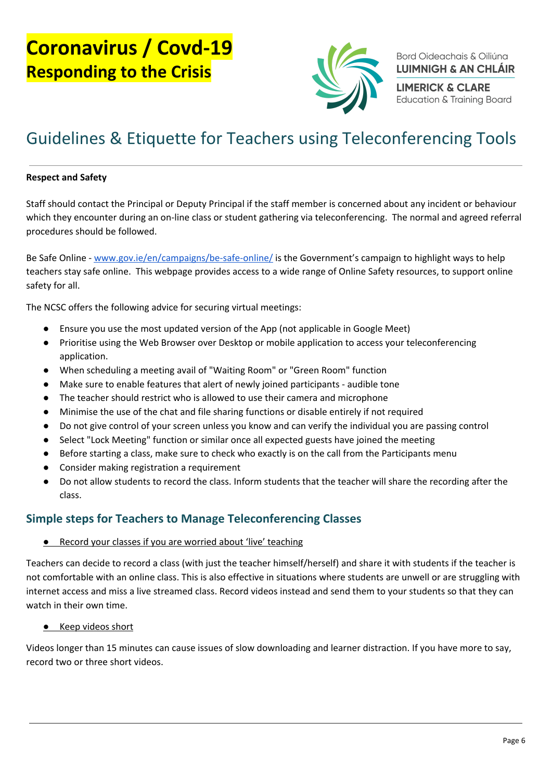

Bord Oideachais & Oiliúna **LUIMNIGH & AN CHLÁIR** 

**LIMERICK & CLARE Education & Training Board** 

### Guidelines & Etiquette for Teachers using Teleconferencing Tools

#### Respect and Safety

Staff should contact the Principal or Deputy Principal if the staff member is concerned about any incident or behaviour which they encounter during an on-line class or student gathering via teleconferencing. The normal and agreed referral procedures should be followed.

Be Safe Online - [www.gov.ie/en/campaigns/be-safe-online/](http://www.gov.ie/en/campaigns/be-safe-online/) is the Government's campaign to highlight ways to help teachers stay safe online. This webpage provides access to a wide range of Online Safety resources, to support online safety for all.

The NCSC offers the following advice for securing virtual meetings:

- Ensure you use the most updated version of the App (not applicable in Google Meet)
- Prioritise using the Web Browser over Desktop or mobile application to access your teleconferencing application.
- When scheduling a meeting avail of "Waiting Room" or "Green Room" function
- Make sure to enable features that alert of newly joined participants audible tone
- The teacher should restrict who is allowed to use their camera and microphone
- Minimise the use of the chat and file sharing functions or disable entirely if not required
- Do not give control of your screen unless you know and can verify the individual you are passing control
- Select "Lock Meeting" function or similar once all expected guests have joined the meeting
- Before starting a class, make sure to check who exactly is on the call from the Participants menu
- Consider making registration a requirement
- Do not allow students to record the class. Inform students that the teacher will share the recording after the class.

#### Simple steps for Teachers to Manage Teleconferencing Classes

#### ● Record your classes if you are worried about 'live' teaching

Teachers can decide to record a class (with just the teacher himself/herself) and share it with students if the teacher is not comfortable with an online class. This is also effective in situations where students are unwell or are struggling with internet access and miss a live streamed class. Record videos instead and send them to your students so that they can watch in their own time.

#### ● Keep videos short

Videos longer than 15 minutes can cause issues of slow downloading and learner distraction. If you have more to say, record two or three short videos.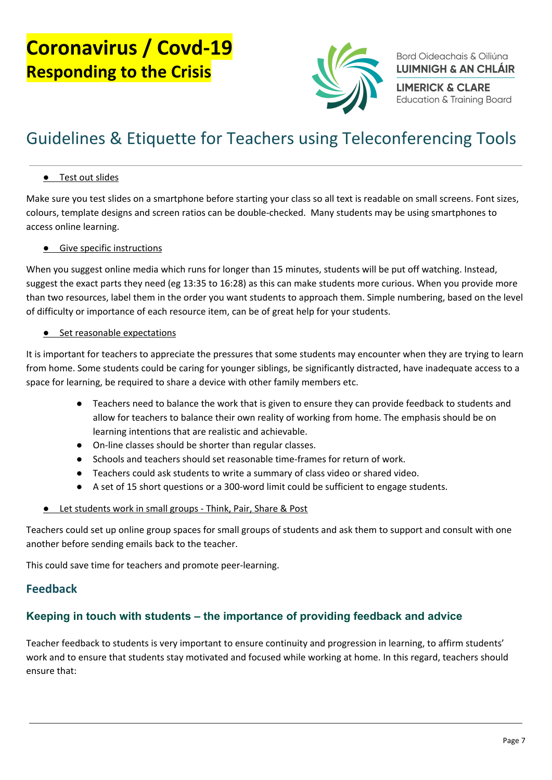

Bord Oideachais & Oiliúna **LUIMNIGH & AN CHLÁIR** 

**LIMERICK & CLARE Education & Training Board** 

# Guidelines & Etiquette for Teachers using Teleconferencing Tools

#### **•** Test out slides

Make sure you test slides on a smartphone before starting your class so all text is readable on small screens. Font sizes, colours, template designs and screen ratios can be double-checked. Many students may be using smartphones to access online learning.

#### ● Give specific instructions

When you suggest online media which runs for longer than 15 minutes, students will be put off watching. Instead, suggest the exact parts they need (eg 13:35 to 16:28) as this can make students more curious. When you provide more than two resources, label them in the order you want students to approach them. Simple numbering, based on the level of difficulty or importance of each resource item, can be of great help for your students.

#### ● Set reasonable expectations

It is important for teachers to appreciate the pressures that some students may encounter when they are trying to learn from home. Some students could be caring for younger siblings, be significantly distracted, have inadequate access to a space for learning, be required to share a device with other family members etc.

- Teachers need to balance the work that is given to ensure they can provide feedback to students and allow for teachers to balance their own reality of working from home. The emphasis should be on learning intentions that are realistic and achievable.
- On-line classes should be shorter than regular classes.
- Schools and teachers should set reasonable time-frames for return of work.
- Teachers could ask students to write a summary of class video or shared video.
- A set of 15 short questions or a 300-word limit could be sufficient to engage students.

#### ● Let students work in small groups - Think, Pair, Share & Post

Teachers could set up online group spaces for small groups of students and ask them to support and consult with one another before sending emails back to the teacher.

This could save time for teachers and promote peer-learning.

#### <span id="page-6-0"></span>Feedback

#### <span id="page-6-1"></span>**Keeping in touch with students – the importance of providing feedback and advice**

Teacher feedback to students is very important to ensure continuity and progression in learning, to affirm students' work and to ensure that students stay motivated and focused while working at home. In this regard, teachers should ensure that: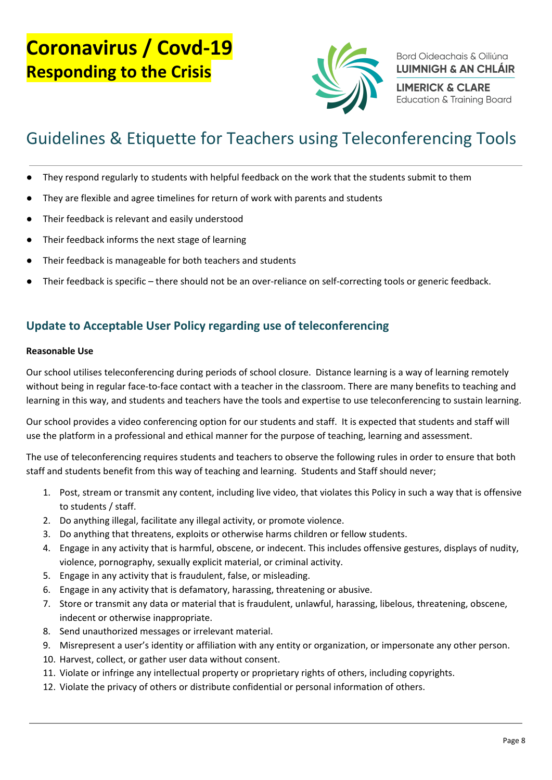

Bord Oideachais & Oiliúna **LUIMNIGH & AN CHLÁIR** 

**LIMERICK & CLARE Education & Training Board** 

# Guidelines & Etiquette for Teachers using Teleconferencing Tools

- They respond regularly to students with helpful feedback on the work that the students submit to them
- They are flexible and agree timelines for return of work with parents and students
- Their feedback is relevant and easily understood
- Their feedback informs the next stage of learning
- Their feedback is manageable for both teachers and students
- Their feedback is specific there should not be an over-reliance on self-correcting tools or generic feedback.

#### <span id="page-7-0"></span>Update to Acceptable User Policy regarding use of teleconferencing

#### Reasonable Use

Our school utilises teleconferencing during periods of school closure. Distance learning is a way of learning remotely without being in regular face-to-face contact with a teacher in the classroom. There are many benefits to teaching and learning in this way, and students and teachers have the tools and expertise to use teleconferencing to sustain learning.

Our school provides a video conferencing option for our students and staff. It is expected that students and staff will use the platform in a professional and ethical manner for the purpose of teaching, learning and assessment.

The use of teleconferencing requires students and teachers to observe the following rules in order to ensure that both staff and students benefit from this way of teaching and learning. Students and Staff should never;

- 1. Post, stream or transmit any content, including live video, that violates this Policy in such a way that is offensive to students / staff.
- 2. Do anything illegal, facilitate any illegal activity, or promote violence.
- 3. Do anything that threatens, exploits or otherwise harms children or fellow students.
- 4. Engage in any activity that is harmful, obscene, or indecent. This includes offensive gestures, displays of nudity, violence, pornography, sexually explicit material, or criminal activity.
- 5. Engage in any activity that is fraudulent, false, or misleading.
- 6. Engage in any activity that is defamatory, harassing, threatening or abusive.
- 7. Store or transmit any data or material that is fraudulent, unlawful, harassing, libelous, threatening, obscene, indecent or otherwise inappropriate.
- 8. Send unauthorized messages or irrelevant material.
- 9. Misrepresent a user's identity or affiliation with any entity or organization, or impersonate any other person.
- 10. Harvest, collect, or gather user data without consent.
- 11. Violate or infringe any intellectual property or proprietary rights of others, including copyrights.
- 12. Violate the privacy of others or distribute confidential or personal information of others.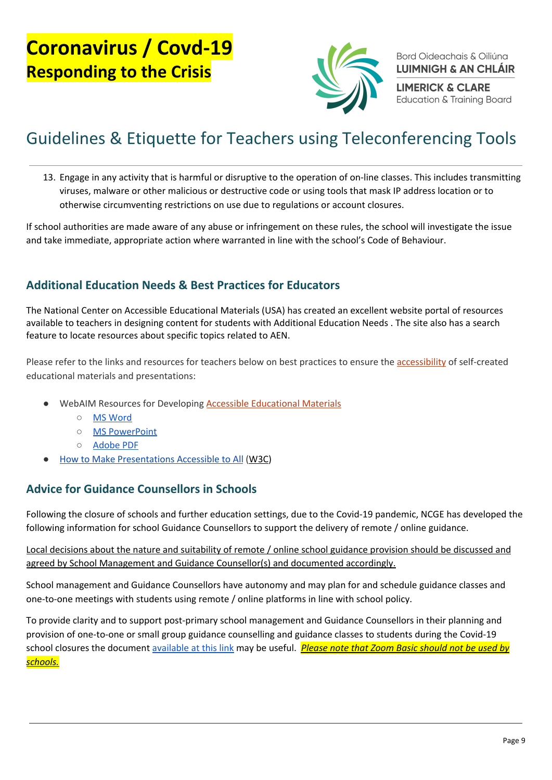

Bord Oideachais & Oiliúna **LUIMNIGH & AN CHLÁIR** 

**LIMERICK & CLARE Education & Training Board** 

# Guidelines & Etiquette for Teachers using Teleconferencing Tools

13. Engage in any activity that is harmful or disruptive to the operation of on-line classes. This includes transmitting viruses, malware or other malicious or destructive code or using tools that mask IP address location or to otherwise circumventing restrictions on use due to regulations or account closures.

If school authorities are made aware of any abuse or infringement on these rules, the school will investigate the issue and take immediate, appropriate action where warranted in line with the school's Code of Behaviour.

#### <span id="page-8-0"></span>Additional Education Needs & Best Practices for Educators

The National Center on Accessible Educational Materials (USA) has created an excellent website portal of resources available to teachers in designing content for students with Additional Education Needs . The site also has a search feature to locate resources about specific topics related to AEN.

Please refer to the links and resources for teachers below on best practices to ensure the [accessibility](http://aem.cast.org/creating/best-practices-educators-instructors.html#) of self-created educational materials and presentations:

- WebAIM Resources for Developing **Accessible [Educational](http://aem.cast.org/creating/best-practices-educators-instructors.html#) Materials** 
	- MS [Word](http://webaim.org/techniques/word/)
	- MS [PowerPoint](http://webaim.org/techniques/powerpoint/)
	- [Adobe](http://webaim.org/techniques/acrobat/) PDF
- **How to Make [Presentations](http://www.w3.org/WAI/training/accessible) Accessible to All ([W3C](http://aem.cast.org/creating/best-practices-educators-instructors.html#))**

#### <span id="page-8-1"></span>Advice for Guidance Counsellors in Schools

Following the closure of schools and further education settings, due to the Covid-19 pandemic, NCGE has developed the following information for school Guidance Counsellors to support the delivery of remote / online guidance.

Local decisions about the nature and suitability of remote / online school guidance provision should be discussed and agreed by School Management and Guidance Counsellor(s) and documented accordingly.

School management and Guidance Counsellors have autonomy and may plan for and schedule guidance classes and one-to-one meetings with students using remote / online platforms in line with school policy.

To provide clarity and to support post-primary school management and Guidance Counsellors in their planning and provision of one-to-one or small group guidance counselling and guidance classes to students during the Covid-19 school closures the document [available](https://www.ncge.ie/sites/default/files/schoolguideance/docs/NCGE%20Support%20Information%20for%20Guidance%20Counsellors%20in%20Schools%20%28COVID%20%E2%80%93%2019%20School%20Closures%202020%29.pdf) at this link may be useful. Please note that Zoom Basic should not be used by schools.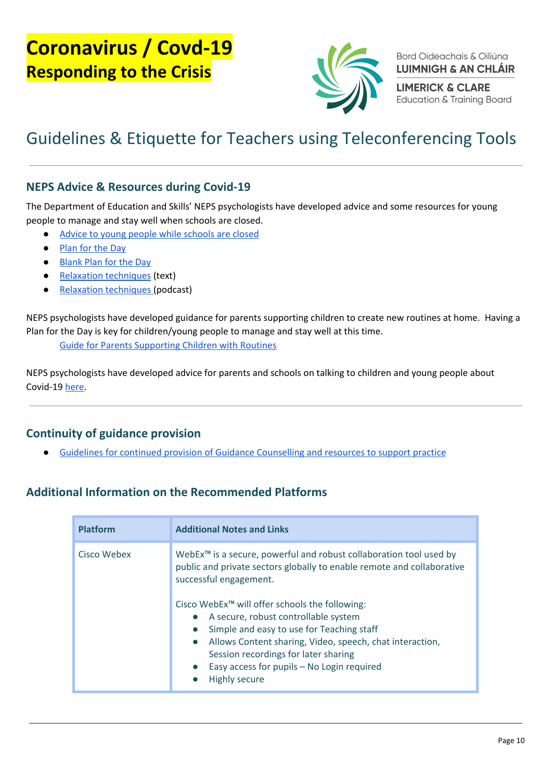

Bord Oideachais & Oiliúna **LUIMNIGH & AN CHLÁIR** 

**LIMERICK & CLARE Education & Training Board** 

# Guidelines & Etiquette for Teachers using Teleconferencing Tools

#### <span id="page-9-0"></span>NEPS Advice & Resources during Covid-19

The Department of Education and Skills' NEPS psychologists have developed advice and some resources for young people to manage and stay well when schools are closed.

- Advice to young people while [schools](https://www.education.ie/en/The-Department/Announcements/advice-to-young-people-while-schools-are-closed.pdf) are closed
- [Plan](https://www.education.ie/en/The-Department/Announcements/plan-your-day.pdf) for the Day
- [Blank](https://www.education.ie/en/The-Department/Announcements/blank-plan-for-the-day.pdf) Plan for the Day
- Relaxation [techniques](https://www.education.ie/en/The-Department/Announcements/new-relaxation-techniques.pdf) (text)
- Relaxation [techniques](https://soundcloud.com/user-719669409/relaxation-techniques-30-03-2020) (podcast)

NEPS psychologists have developed guidance for parents supporting children to create new routines at home. Having a Plan for the Day is key for children/young people to manage and stay well at this time.

Guide for Parents [Supporting](https://www.education.ie/en/The-Department/Announcements/guide-for-parents-supporting-children.pdf) Children with Routines

NEPS psychologists have developed advice for parents and schools on talking to children and young people about Covid-19 [here.](https://www.education.ie/en/The-Department/Announcements/talking-to-children-and-young-people-about-covid-19-coronavirus-advice-for-parents-and-schools.pdf)

#### <span id="page-9-1"></span>Continuity of guidance provision

Guidelines for continued provision of Guidance [Counselling](https://www.education.ie/en/Schools-Colleges/Information/Post-Primary-School-Policies/Policies/Guidance-Plan.html) and resources to support practice

#### <span id="page-9-2"></span>Additional Information on the Recommended Platforms

| <b>Platform</b> | <b>Additional Notes and Links</b>                                                                                                                                                                                                                                                                                                                                                                                                                                                                                                                |
|-----------------|--------------------------------------------------------------------------------------------------------------------------------------------------------------------------------------------------------------------------------------------------------------------------------------------------------------------------------------------------------------------------------------------------------------------------------------------------------------------------------------------------------------------------------------------------|
| Cisco Webex     | WebEx <sup>™</sup> is a secure, powerful and robust collaboration tool used by<br>public and private sectors globally to enable remote and collaborative<br>successful engagement.<br>Cisco WebEx™ will offer schools the following:<br>A secure, robust controllable system<br>Simple and easy to use for Teaching staff<br>$\bullet$<br>Allows Content sharing, Video, speech, chat interaction,<br>$\bullet$<br>Session recordings for later sharing<br>Easy access for pupils - No Login required<br>$\bullet$<br>Highly secure<br>$\bullet$ |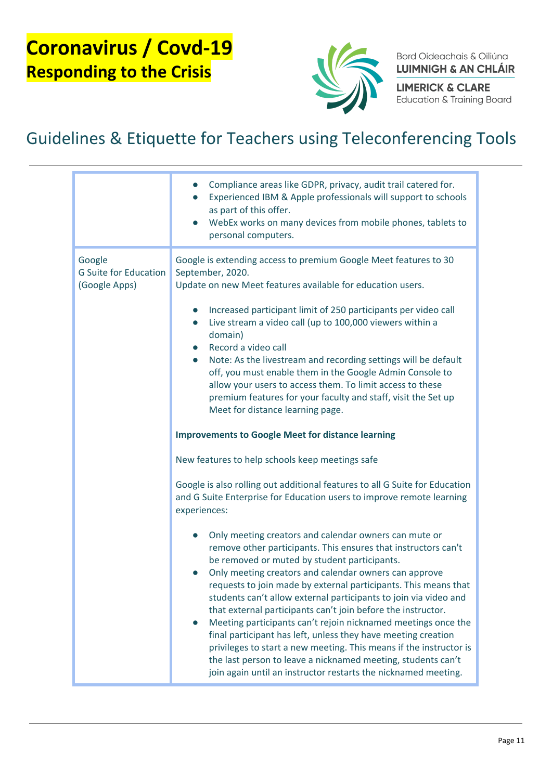

Bord Oideachais & Oiliúna **LUIMNIGH & AN CHLÁIR** 

**LIMERICK & CLARE** Education & Training Board

|                                                         | Compliance areas like GDPR, privacy, audit trail catered for.<br>Experienced IBM & Apple professionals will support to schools<br>as part of this offer.<br>WebEx works on many devices from mobile phones, tablets to<br>personal computers.                                                                                                                                                                                                                                                                                                                                                                                                                                                                                                                                     |
|---------------------------------------------------------|-----------------------------------------------------------------------------------------------------------------------------------------------------------------------------------------------------------------------------------------------------------------------------------------------------------------------------------------------------------------------------------------------------------------------------------------------------------------------------------------------------------------------------------------------------------------------------------------------------------------------------------------------------------------------------------------------------------------------------------------------------------------------------------|
| Google<br><b>G Suite for Education</b><br>(Google Apps) | Google is extending access to premium Google Meet features to 30<br>September, 2020.<br>Update on new Meet features available for education users.<br>Increased participant limit of 250 participants per video call<br>Live stream a video call (up to 100,000 viewers within a<br>$\bullet$<br>domain)<br>Record a video call<br>$\bullet$<br>Note: As the livestream and recording settings will be default<br>$\bullet$<br>off, you must enable them in the Google Admin Console to<br>allow your users to access them. To limit access to these<br>premium features for your faculty and staff, visit the Set up<br>Meet for distance learning page.                                                                                                                         |
|                                                         | <b>Improvements to Google Meet for distance learning</b>                                                                                                                                                                                                                                                                                                                                                                                                                                                                                                                                                                                                                                                                                                                          |
|                                                         | New features to help schools keep meetings safe                                                                                                                                                                                                                                                                                                                                                                                                                                                                                                                                                                                                                                                                                                                                   |
|                                                         | Google is also rolling out additional features to all G Suite for Education<br>and G Suite Enterprise for Education users to improve remote learning<br>experiences:                                                                                                                                                                                                                                                                                                                                                                                                                                                                                                                                                                                                              |
|                                                         | Only meeting creators and calendar owners can mute or<br>remove other participants. This ensures that instructors can't<br>be removed or muted by student participants.<br>Only meeting creators and calendar owners can approve<br>requests to join made by external participants. This means that<br>students can't allow external participants to join via video and<br>that external participants can't join before the instructor.<br>Meeting participants can't rejoin nicknamed meetings once the<br>final participant has left, unless they have meeting creation<br>privileges to start a new meeting. This means if the instructor is<br>the last person to leave a nicknamed meeting, students can't<br>join again until an instructor restarts the nicknamed meeting. |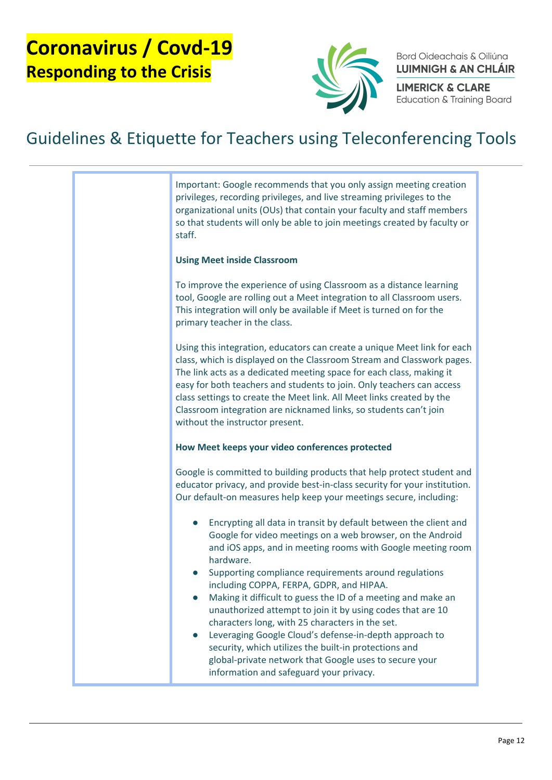

Bord Oideachais & Oiliúna **LUIMNIGH & AN CHLÁIR** 

**LIMERICK & CLARE Education & Training Board** 

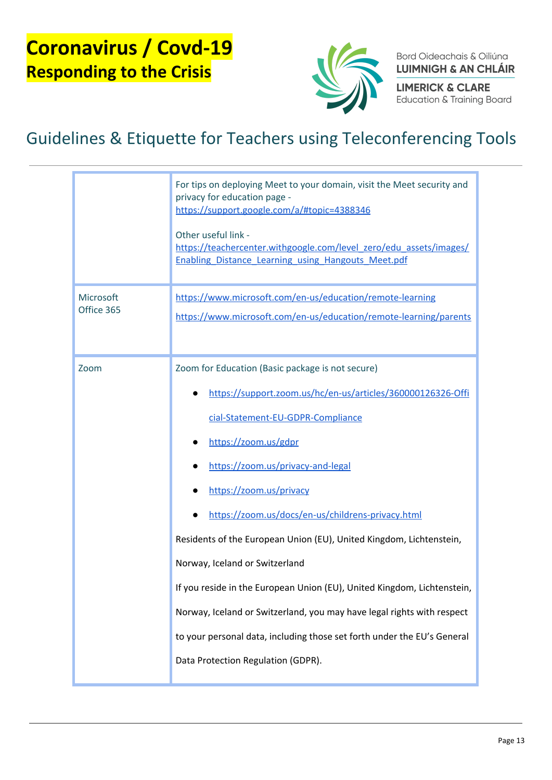

Bord Oideachais & Oiliúna **LUIMNIGH & AN CHLÁIR** 

**LIMERICK & CLARE Education & Training Board** 

|                         | For tips on deploying Meet to your domain, visit the Meet security and<br>privacy for education page -<br>https://support.google.com/a/#topic=4388346<br>Other useful link -<br>https://teachercenter.withgoogle.com/level_zero/edu_assets/images/<br><b>Enabling Distance Learning using Hangouts Meet.pdf</b>                                                                                                                                                                                                                                                                                                                                                                  |
|-------------------------|----------------------------------------------------------------------------------------------------------------------------------------------------------------------------------------------------------------------------------------------------------------------------------------------------------------------------------------------------------------------------------------------------------------------------------------------------------------------------------------------------------------------------------------------------------------------------------------------------------------------------------------------------------------------------------|
| Microsoft<br>Office 365 | https://www.microsoft.com/en-us/education/remote-learning<br>https://www.microsoft.com/en-us/education/remote-learning/parents                                                                                                                                                                                                                                                                                                                                                                                                                                                                                                                                                   |
| Zoom                    | Zoom for Education (Basic package is not secure)<br>https://support.zoom.us/hc/en-us/articles/360000126326-Offi<br>cial-Statement-EU-GDPR-Compliance<br>https://zoom.us/gdpr<br>https://zoom.us/privacy-and-legal<br>https://zoom.us/privacy<br>https://zoom.us/docs/en-us/childrens-privacy.html<br>Residents of the European Union (EU), United Kingdom, Lichtenstein,<br>Norway, Iceland or Switzerland<br>If you reside in the European Union (EU), United Kingdom, Lichtenstein,<br>Norway, Iceland or Switzerland, you may have legal rights with respect<br>to your personal data, including those set forth under the EU's General<br>Data Protection Regulation (GDPR). |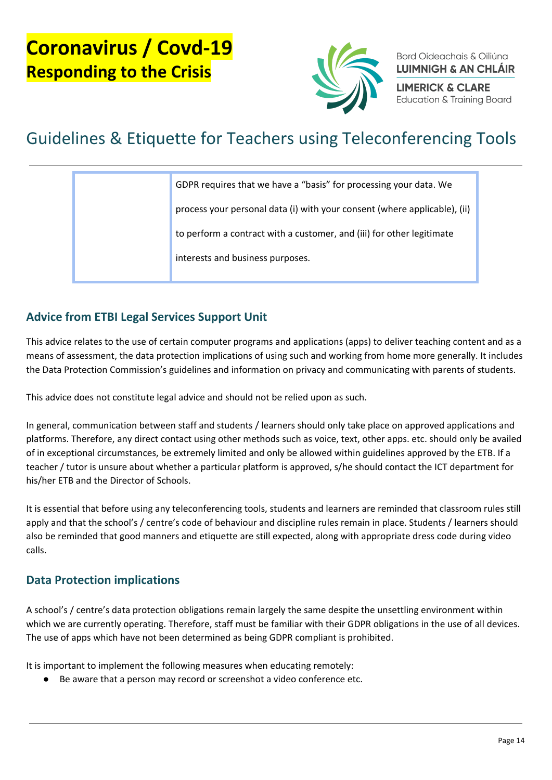![](_page_13_Picture_1.jpeg)

Bord Oideachais & Oiliúna **LUIMNIGH & AN CHLÁIR** 

**LIMERICK & CLARE Education & Training Board** 

# Guidelines & Etiquette for Teachers using Teleconferencing Tools

| GDPR requires that we have a "basis" for processing your data. We         |
|---------------------------------------------------------------------------|
| process your personal data (i) with your consent (where applicable), (ii) |
| to perform a contract with a customer, and (iii) for other legitimate     |
| interests and business purposes.                                          |
|                                                                           |

#### <span id="page-13-0"></span>Advice from ETBI Legal Services Support Unit

This advice relates to the use of certain computer programs and applications (apps) to deliver teaching content and as a means of assessment, the data protection implications of using such and working from home more generally. It includes the Data Protection Commission's guidelines and information on privacy and communicating with parents of students.

This advice does not constitute legal advice and should not be relied upon as such.

In general, communication between staff and students / learners should only take place on approved applications and platforms. Therefore, any direct contact using other methods such as voice, text, other apps. etc. should only be availed of in exceptional circumstances, be extremely limited and only be allowed within guidelines approved by the ETB. If a teacher / tutor is unsure about whether a particular platform is approved, s/he should contact the ICT department for his/her ETB and the Director of Schools.

It is essential that before using any teleconferencing tools, students and learners are reminded that classroom rules still apply and that the school's / centre's code of behaviour and discipline rules remain in place. Students / learners should also be reminded that good manners and etiquette are still expected, along with appropriate dress code during video calls.

#### <span id="page-13-1"></span>Data Protection implications

A school's / centre's data protection obligations remain largely the same despite the unsettling environment within which we are currently operating. Therefore, staff must be familiar with their GDPR obligations in the use of all devices. The use of apps which have not been determined as being GDPR compliant is prohibited.

It is important to implement the following measures when educating remotely:

Be aware that a person may record or screenshot a video conference etc.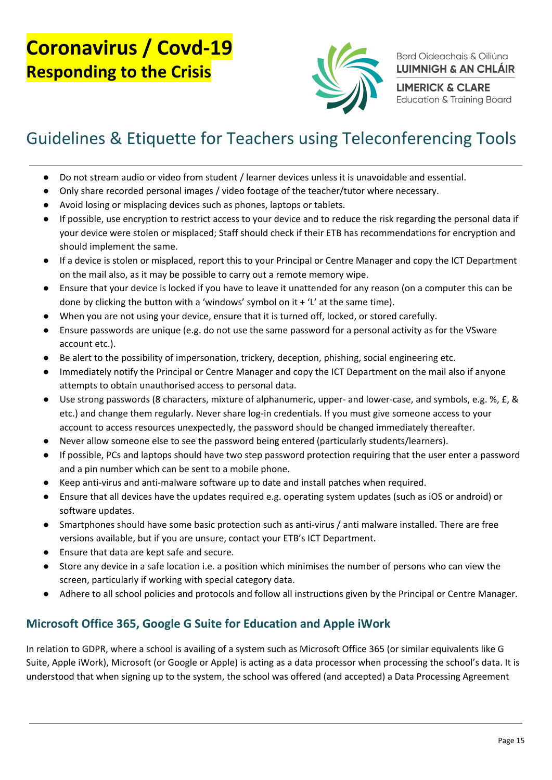![](_page_14_Picture_1.jpeg)

Bord Oideachais & Oiliúna **LUIMNIGH & AN CHLÁIR** 

**LIMERICK & CLARE Education & Training Board** 

### Guidelines & Etiquette for Teachers using Teleconferencing Tools

- Do not stream audio or video from student / learner devices unless it is unavoidable and essential.
- Only share recorded personal images / video footage of the teacher/tutor where necessary.
- Avoid losing or misplacing devices such as phones, laptops or tablets.
- If possible, use encryption to restrict access to your device and to reduce the risk regarding the personal data if your device were stolen or misplaced; Staff should check if their ETB has recommendations for encryption and should implement the same.
- If a device is stolen or misplaced, report this to your Principal or Centre Manager and copy the ICT Department on the mail also, as it may be possible to carry out a remote memory wipe.
- Ensure that your device is locked if you have to leave it unattended for any reason (on a computer this can be done by clicking the button with a 'windows' symbol on it  $+$  'L' at the same time).
- When you are not using your device, ensure that it is turned off, locked, or stored carefully.
- Ensure passwords are unique (e.g. do not use the same password for a personal activity as for the VSware account etc.).
- Be alert to the possibility of impersonation, trickery, deception, phishing, social engineering etc.
- Immediately notify the Principal or Centre Manager and copy the ICT Department on the mail also if anyone attempts to obtain unauthorised access to personal data.
- Use strong passwords (8 characters, mixture of alphanumeric, upper- and lower-case, and symbols, e.g. %, £, & etc.) and change them regularly. Never share log-in credentials. If you must give someone access to your account to access resources unexpectedly, the password should be changed immediately thereafter.
- Never allow someone else to see the password being entered (particularly students/learners).
- If possible, PCs and laptops should have two step password protection requiring that the user enter a password and a pin number which can be sent to a mobile phone.
- Keep anti-virus and anti-malware software up to date and install patches when required.
- Ensure that all devices have the updates required e.g. operating system updates (such as iOS or android) or software updates.
- Smartphones should have some basic protection such as anti-virus / anti malware installed. There are free versions available, but if you are unsure, contact your ETB's ICT Department.
- Ensure that data are kept safe and secure.
- Store any device in a safe location i.e. a position which minimises the number of persons who can view the screen, particularly if working with special category data.
- Adhere to all school policies and protocols and follow all instructions given by the Principal or Centre Manager.

#### <span id="page-14-0"></span>Microsoft Office 365, Google G Suite for Education and Apple iWork

In relation to GDPR, where a school is availing of a system such as Microsoft Office 365 (or similar equivalents like G Suite, Apple iWork), Microsoft (or Google or Apple) is acting as a data processor when processing the school's data. It is understood that when signing up to the system, the school was offered (and accepted) a Data Processing Agreement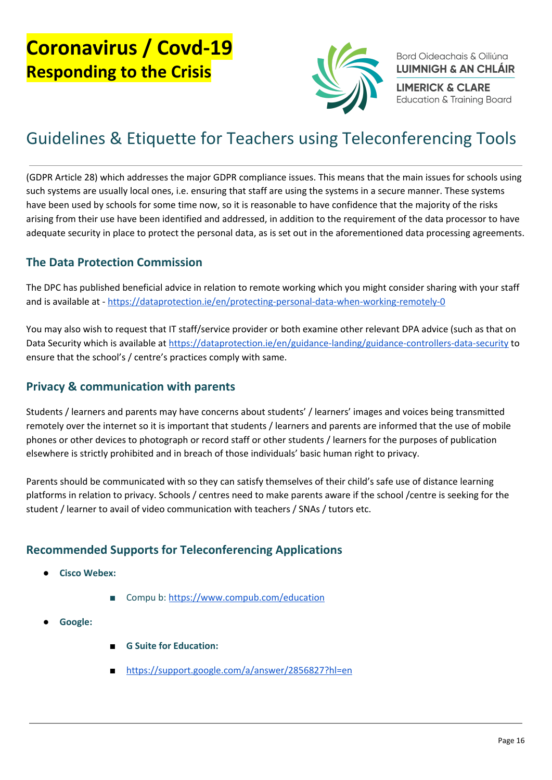![](_page_15_Picture_1.jpeg)

Bord Oideachais & Oiliúna **LUIMNIGH & AN CHLÁIR** 

**LIMERICK & CLARE Education & Training Board** 

### Guidelines & Etiquette for Teachers using Teleconferencing Tools

(GDPR Article 28) which addresses the major GDPR compliance issues. This means that the main issues for schools using such systems are usually local ones, i.e. ensuring that staff are using the systems in a secure manner. These systems have been used by schools for some time now, so it is reasonable to have confidence that the majority of the risks arising from their use have been identified and addressed, in addition to the requirement of the data processor to have adequate security in place to protect the personal data, as is set out in the aforementioned data processing agreements.

#### <span id="page-15-0"></span>The Data Protection Commission

The DPC has published beneficial advice in relation to remote working which you might consider sharing with your staff and is available at - <https://dataprotection.ie/en/protecting-personal-data-when-working-remotely-0>

You may also wish to request that IT staff/service provider or both examine other relevant DPA advice (such as that on Data Security which is available at <https://dataprotection.ie/en/guidance-landing/guidance-controllers-data-security> to ensure that the school's / centre's practices comply with same.

#### <span id="page-15-1"></span>Privacy & communication with parents

Students / learners and parents may have concerns about students' / learners' images and voices being transmitted remotely over the internet so it is important that students / learners and parents are informed that the use of mobile phones or other devices to photograph or record staff or other students / learners for the purposes of publication elsewhere is strictly prohibited and in breach of those individuals' basic human right to privacy.

Parents should be communicated with so they can satisfy themselves of their child's safe use of distance learning platforms in relation to privacy. Schools / centres need to make parents aware if the school /centre is seeking for the student / learner to avail of video communication with teachers / SNAs / tutors etc.

#### Recommended Supports for Teleconferencing Applications

- **●** Cisco Webex:
	- Compu b: <https://www.compub.com/education>
- Google:
- **G Suite for Education:**
- <https://support.google.com/a/answer/2856827?hl=en>